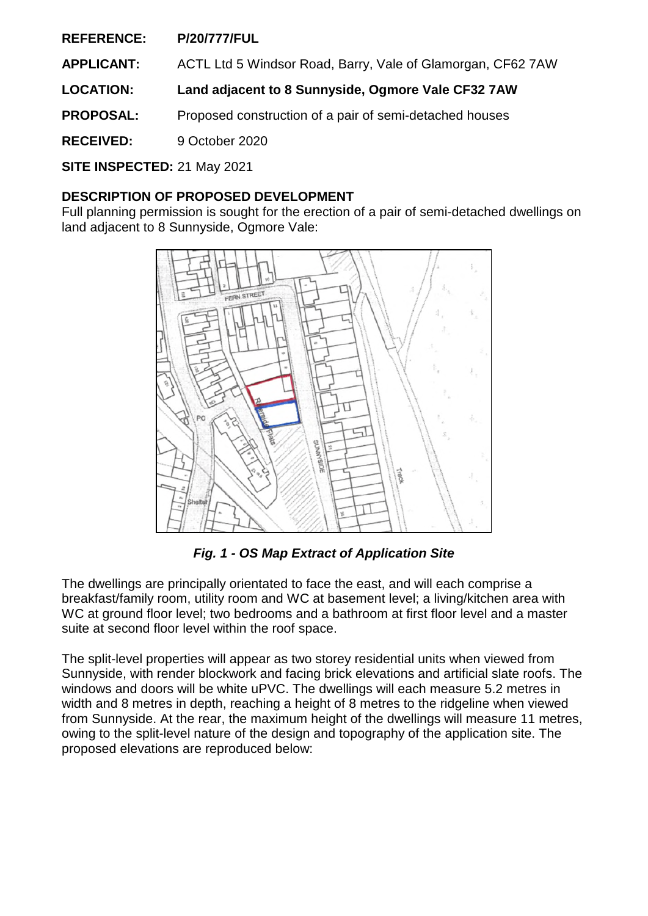**REFERENCE: P/20/777/FUL**

**APPLICANT:** ACTL Ltd 5 Windsor Road, Barry, Vale of Glamorgan, CF62 7AW

**LOCATION: Land adjacent to 8 Sunnyside, Ogmore Vale CF32 7AW** 

**PROPOSAL:** Proposed construction of a pair of semi-detached houses

**RECEIVED:** 9 October 2020

**SITE INSPECTED:** 21 May 2021

## **DESCRIPTION OF PROPOSED DEVELOPMENT**

Full planning permission is sought for the erection of a pair of semi-detached dwellings on land adjacent to 8 Sunnyside, Ogmore Vale:



*Fig. 1 - OS Map Extract of Application Site* 

The dwellings are principally orientated to face the east, and will each comprise a breakfast/family room, utility room and WC at basement level; a living/kitchen area with WC at ground floor level; two bedrooms and a bathroom at first floor level and a master suite at second floor level within the roof space.

The split-level properties will appear as two storey residential units when viewed from Sunnyside, with render blockwork and facing brick elevations and artificial slate roofs. The windows and doors will be white uPVC. The dwellings will each measure 5.2 metres in width and 8 metres in depth, reaching a height of 8 metres to the ridgeline when viewed from Sunnyside. At the rear, the maximum height of the dwellings will measure 11 metres, owing to the split-level nature of the design and topography of the application site. The proposed elevations are reproduced below: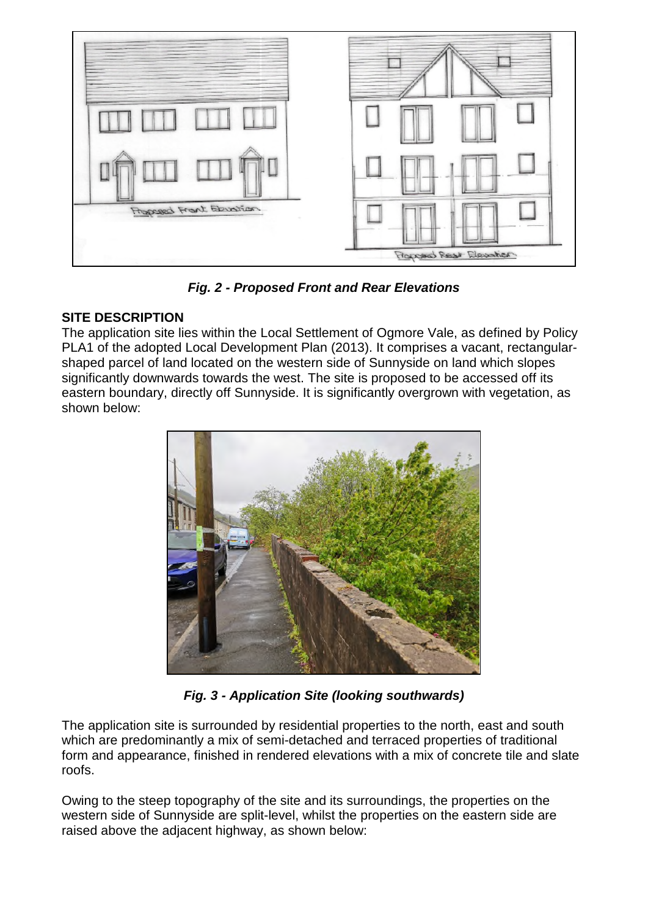

*Fig. 2 - Proposed Front and Rear Elevations* 

## **SITE DESCRIPTION**

The application site lies within the Local Settlement of Ogmore Vale, as defined by Policy PLA1 of the adopted Local Development Plan (2013). It comprises a vacant, rectangularshaped parcel of land located on the western side of Sunnyside on land which slopes significantly downwards towards the west. The site is proposed to be accessed off its eastern boundary, directly off Sunnyside. It is significantly overgrown with vegetation, as shown below:



*Fig. 3 - Application Site (looking southwards)* 

The application site is surrounded by residential properties to the north, east and south which are predominantly a mix of semi-detached and terraced properties of traditional form and appearance, finished in rendered elevations with a mix of concrete tile and slate roofs.

Owing to the steep topography of the site and its surroundings, the properties on the western side of Sunnyside are split-level, whilst the properties on the eastern side are raised above the adjacent highway, as shown below: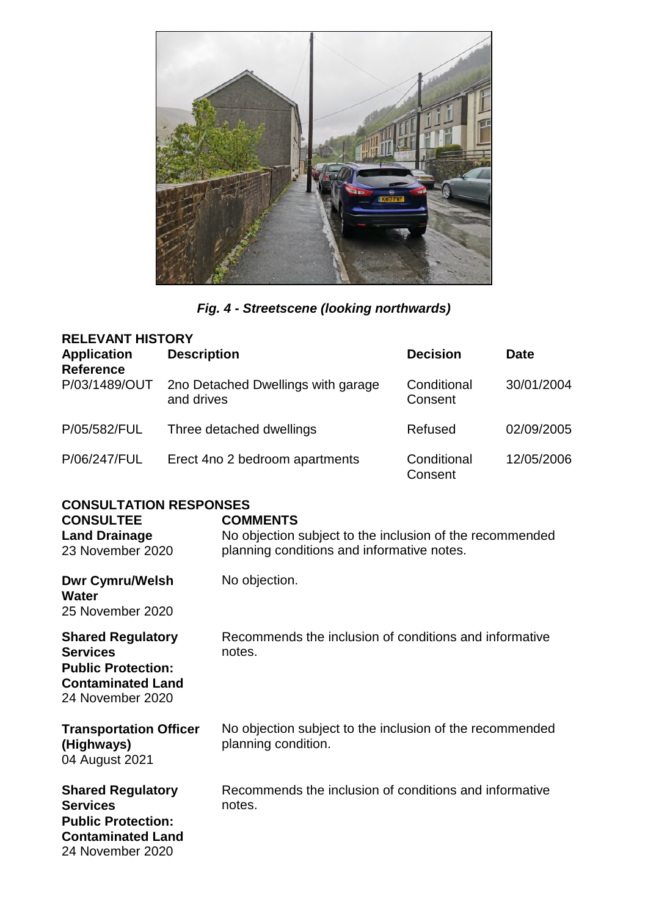

# *Fig. 4 - Streetscene (looking northwards)*

| <b>RELEVANT HISTORY</b>                |                                                  |                        |             |  |
|----------------------------------------|--------------------------------------------------|------------------------|-------------|--|
| <b>Application</b><br><b>Reference</b> | <b>Description</b>                               | <b>Decision</b>        | <b>Date</b> |  |
| P/03/1489/OUT                          | 2no Detached Dwellings with garage<br>and drives | Conditional<br>Consent | 30/01/2004  |  |
| P/05/582/FUL                           | Three detached dwellings                         | Refused                | 02/09/2005  |  |
| P/06/247/FUL                           | Erect 4no 2 bedroom apartments                   | Conditional<br>Consent | 12/05/2006  |  |

## **CONSULTATION RESPONSES**

| <b>CONSULTEE</b><br><b>Land Drainage</b><br>23 November 2020                                                             | <b>COMMENTS</b><br>No objection subject to the inclusion of the recommended<br>planning conditions and informative notes. |
|--------------------------------------------------------------------------------------------------------------------------|---------------------------------------------------------------------------------------------------------------------------|
| <b>Dwr Cymru/Welsh</b><br>Water<br>25 November 2020                                                                      | No objection.                                                                                                             |
| <b>Shared Regulatory</b><br><b>Services</b><br><b>Public Protection:</b><br><b>Contaminated Land</b><br>24 November 2020 | Recommends the inclusion of conditions and informative<br>notes.                                                          |
| <b>Transportation Officer</b><br>(Highways)<br>04 August 2021                                                            | No objection subject to the inclusion of the recommended<br>planning condition.                                           |
| <b>Shared Regulatory</b><br><b>Services</b><br><b>Public Protection:</b><br><b>Contaminated Land</b><br>24 November 2020 | Recommends the inclusion of conditions and informative<br>notes.                                                          |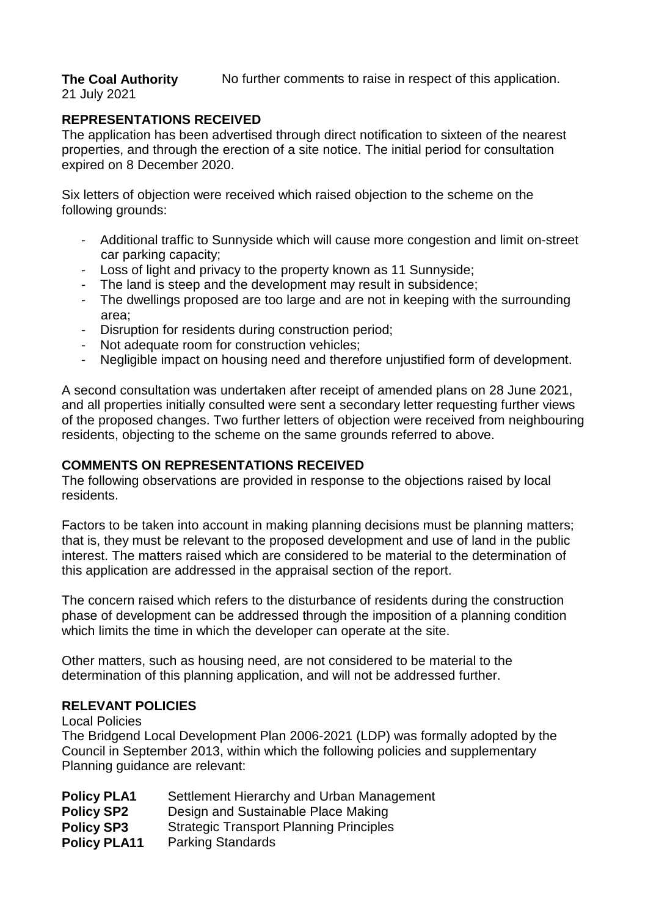**The Coal Authority** 

No further comments to raise in respect of this application.

21 July 2021

## **REPRESENTATIONS RECEIVED**

The application has been advertised through direct notification to sixteen of the nearest properties, and through the erection of a site notice. The initial period for consultation expired on 8 December 2020.

Six letters of objection were received which raised objection to the scheme on the following grounds:

- Additional traffic to Sunnyside which will cause more congestion and limit on-street car parking capacity;
- Loss of light and privacy to the property known as 11 Sunnyside;
- The land is steep and the development may result in subsidence;
- The dwellings proposed are too large and are not in keeping with the surrounding area;
- Disruption for residents during construction period;
- Not adequate room for construction vehicles;
- Negligible impact on housing need and therefore unjustified form of development.

A second consultation was undertaken after receipt of amended plans on 28 June 2021, and all properties initially consulted were sent a secondary letter requesting further views of the proposed changes. Two further letters of objection were received from neighbouring residents, objecting to the scheme on the same grounds referred to above.

## **COMMENTS ON REPRESENTATIONS RECEIVED**

The following observations are provided in response to the objections raised by local residents.

Factors to be taken into account in making planning decisions must be planning matters; that is, they must be relevant to the proposed development and use of land in the public interest. The matters raised which are considered to be material to the determination of this application are addressed in the appraisal section of the report.

The concern raised which refers to the disturbance of residents during the construction phase of development can be addressed through the imposition of a planning condition which limits the time in which the developer can operate at the site.

Other matters, such as housing need, are not considered to be material to the determination of this planning application, and will not be addressed further.

## **RELEVANT POLICIES**

Local Policies

The Bridgend Local Development Plan 2006-2021 (LDP) was formally adopted by the Council in September 2013, within which the following policies and supplementary Planning guidance are relevant:

| <b>Policy PLA1</b>  | Settlement Hierarchy and Urban Management      |
|---------------------|------------------------------------------------|
| <b>Policy SP2</b>   | Design and Sustainable Place Making            |
| <b>Policy SP3</b>   | <b>Strategic Transport Planning Principles</b> |
| <b>Policy PLA11</b> | <b>Parking Standards</b>                       |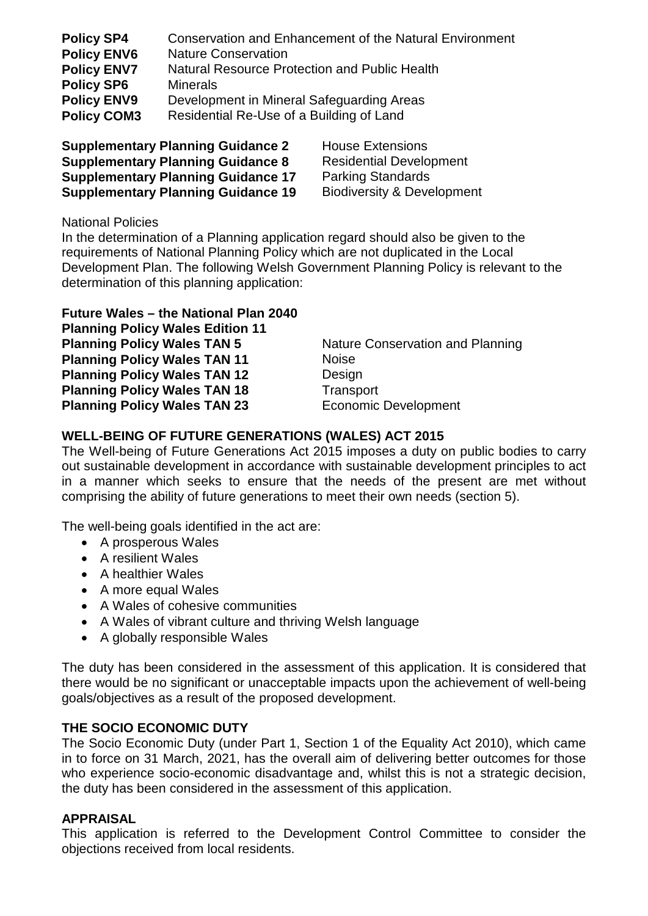| <b>Policy SP4</b>  | Conservation and Enhancement of the Natural Environment |
|--------------------|---------------------------------------------------------|
| <b>Policy ENV6</b> | <b>Nature Conservation</b>                              |
| <b>Policy ENV7</b> | <b>Natural Resource Protection and Public Health</b>    |
| <b>Policy SP6</b>  | <b>Minerals</b>                                         |
| <b>Policy ENV9</b> | Development in Mineral Safeguarding Areas               |
| <b>Policy COM3</b> | Residential Re-Use of a Building of Land                |

**Supplementary Planning Guidance 2** House Extensions **Supplementary Planning Guidance 8** Residential Development **Supplementary Planning Guidance 17 Parking Standards Supplementary Planning Guidance 19 Biodiversity & Development** 

National Policies

In the determination of a Planning application regard should also be given to the requirements of National Planning Policy which are not duplicated in the Local Development Plan. The following Welsh Government Planning Policy is relevant to the determination of this planning application:

## **Future Wales – the National Plan 2040**

**Planning Policy Wales Edition 11 Planning Policy Wales TAN 11** Noise **Planning Policy Wales TAN 12** Design **Planning Policy Wales TAN 18** Transport **Planning Policy Wales TAN 23** Economic Development

**Planning Policy Wales TAN 5** Nature Conservation and Planning

## **WELL-BEING OF FUTURE GENERATIONS (WALES) ACT 2015**

The Well-being of Future Generations Act 2015 imposes a duty on public bodies to carry out sustainable development in accordance with sustainable development principles to act in a manner which seeks to ensure that the needs of the present are met without comprising the ability of future generations to meet their own needs (section 5).

The well-being goals identified in the act are:

- A prosperous Wales
- A resilient Wales
- A healthier Wales
- A more equal Wales
- A Wales of cohesive communities
- A Wales of vibrant culture and thriving Welsh language
- A globally responsible Wales

The duty has been considered in the assessment of this application. It is considered that there would be no significant or unacceptable impacts upon the achievement of well-being goals/objectives as a result of the proposed development.

## **THE SOCIO ECONOMIC DUTY**

The Socio Economic Duty (under Part 1, Section 1 of the Equality Act 2010), which came in to force on 31 March, 2021, has the overall aim of delivering better outcomes for those who experience socio-economic disadvantage and, whilst this is not a strategic decision, the duty has been considered in the assessment of this application.

#### **APPRAISAL**

This application is referred to the Development Control Committee to consider the objections received from local residents.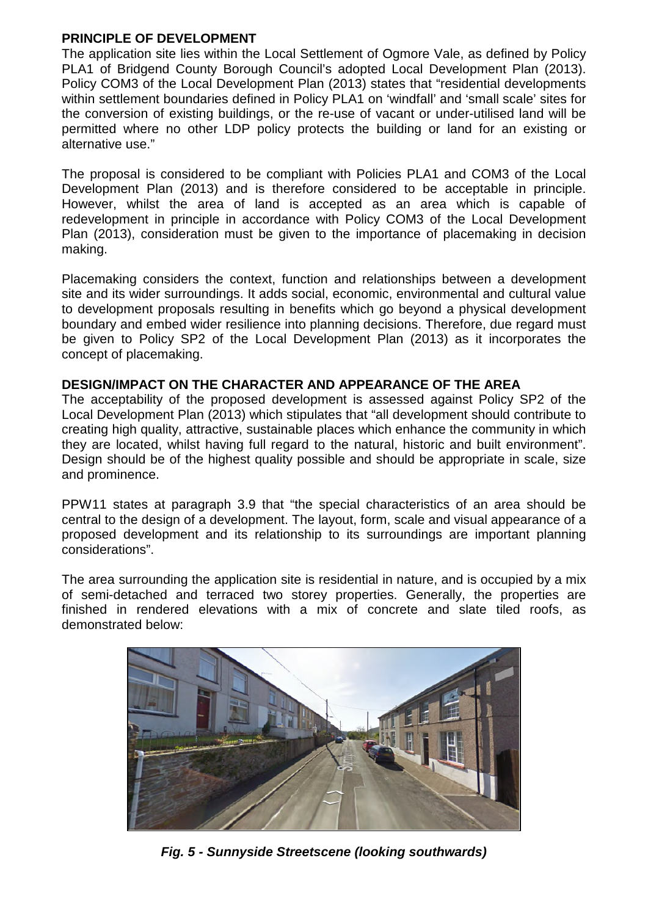## **PRINCIPLE OF DEVELOPMENT**

The application site lies within the Local Settlement of Ogmore Vale, as defined by Policy PLA1 of Bridgend County Borough Council's adopted Local Development Plan (2013). Policy COM3 of the Local Development Plan (2013) states that "residential developments within settlement boundaries defined in Policy PLA1 on 'windfall' and 'small scale' sites for the conversion of existing buildings, or the re-use of vacant or under-utilised land will be permitted where no other LDP policy protects the building or land for an existing or alternative use."

The proposal is considered to be compliant with Policies PLA1 and COM3 of the Local Development Plan (2013) and is therefore considered to be acceptable in principle. However, whilst the area of land is accepted as an area which is capable of redevelopment in principle in accordance with Policy COM3 of the Local Development Plan (2013), consideration must be given to the importance of placemaking in decision making.

Placemaking considers the context, function and relationships between a development site and its wider surroundings. It adds social, economic, environmental and cultural value to development proposals resulting in benefits which go beyond a physical development boundary and embed wider resilience into planning decisions. Therefore, due regard must be given to Policy SP2 of the Local Development Plan (2013) as it incorporates the concept of placemaking.

## **DESIGN/IMPACT ON THE CHARACTER AND APPEARANCE OF THE AREA**

The acceptability of the proposed development is assessed against Policy SP2 of the Local Development Plan (2013) which stipulates that "all development should contribute to creating high quality, attractive, sustainable places which enhance the community in which they are located, whilst having full regard to the natural, historic and built environment". Design should be of the highest quality possible and should be appropriate in scale, size and prominence.

PPW11 states at paragraph 3.9 that "the special characteristics of an area should be central to the design of a development. The layout, form, scale and visual appearance of a proposed development and its relationship to its surroundings are important planning considerations".

The area surrounding the application site is residential in nature, and is occupied by a mix of semi-detached and terraced two storey properties. Generally, the properties are finished in rendered elevations with a mix of concrete and slate tiled roofs, as demonstrated below:



*Fig. 5 - Sunnyside Streetscene (looking southwards)*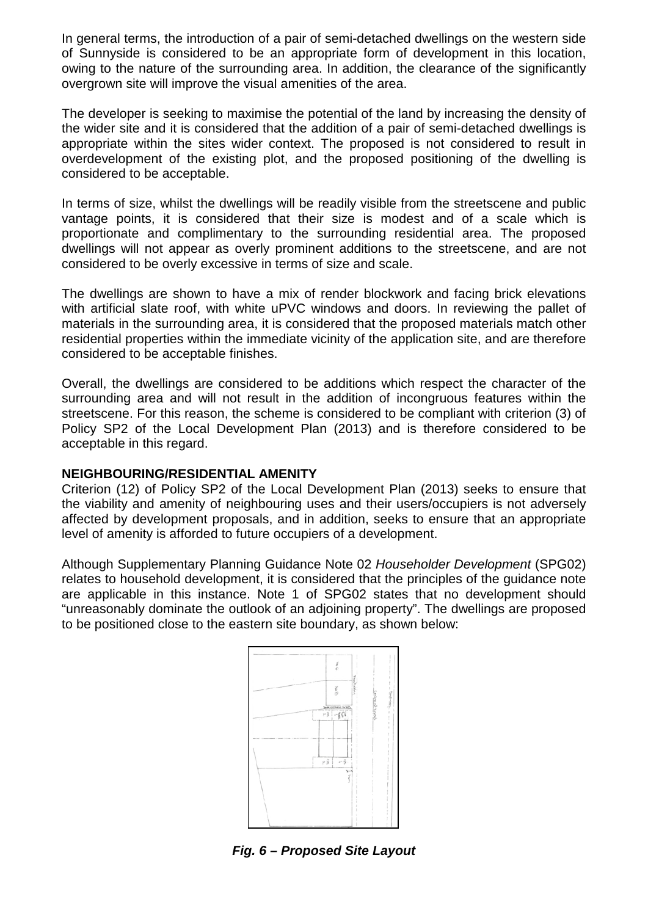In general terms, the introduction of a pair of semi-detached dwellings on the western side of Sunnyside is considered to be an appropriate form of development in this location, owing to the nature of the surrounding area. In addition, the clearance of the significantly overgrown site will improve the visual amenities of the area.

The developer is seeking to maximise the potential of the land by increasing the density of the wider site and it is considered that the addition of a pair of semi-detached dwellings is appropriate within the sites wider context. The proposed is not considered to result in overdevelopment of the existing plot, and the proposed positioning of the dwelling is considered to be acceptable.

In terms of size, whilst the dwellings will be readily visible from the streetscene and public vantage points, it is considered that their size is modest and of a scale which is proportionate and complimentary to the surrounding residential area. The proposed dwellings will not appear as overly prominent additions to the streetscene, and are not considered to be overly excessive in terms of size and scale.

The dwellings are shown to have a mix of render blockwork and facing brick elevations with artificial slate roof, with white uPVC windows and doors. In reviewing the pallet of materials in the surrounding area, it is considered that the proposed materials match other residential properties within the immediate vicinity of the application site, and are therefore considered to be acceptable finishes.

Overall, the dwellings are considered to be additions which respect the character of the surrounding area and will not result in the addition of incongruous features within the streetscene. For this reason, the scheme is considered to be compliant with criterion (3) of Policy SP2 of the Local Development Plan (2013) and is therefore considered to be acceptable in this regard.

## **NEIGHBOURING/RESIDENTIAL AMENITY**

Criterion (12) of Policy SP2 of the Local Development Plan (2013) seeks to ensure that the viability and amenity of neighbouring uses and their users/occupiers is not adversely affected by development proposals, and in addition, seeks to ensure that an appropriate level of amenity is afforded to future occupiers of a development.

Although Supplementary Planning Guidance Note 02 *Householder Development* (SPG02) relates to household development, it is considered that the principles of the guidance note are applicable in this instance. Note 1 of SPG02 states that no development should "unreasonably dominate the outlook of an adjoining property". The dwellings are proposed to be positioned close to the eastern site boundary, as shown below:



*Fig. 6 – Proposed Site Layout*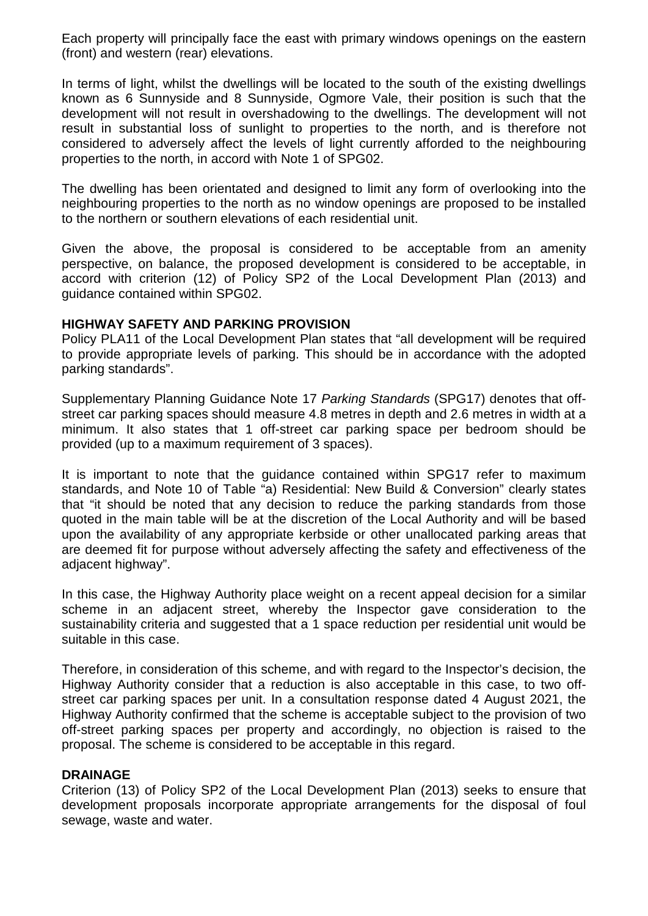Each property will principally face the east with primary windows openings on the eastern (front) and western (rear) elevations.

In terms of light, whilst the dwellings will be located to the south of the existing dwellings known as 6 Sunnyside and 8 Sunnyside, Ogmore Vale, their position is such that the development will not result in overshadowing to the dwellings. The development will not result in substantial loss of sunlight to properties to the north, and is therefore not considered to adversely affect the levels of light currently afforded to the neighbouring properties to the north, in accord with Note 1 of SPG02.

The dwelling has been orientated and designed to limit any form of overlooking into the neighbouring properties to the north as no window openings are proposed to be installed to the northern or southern elevations of each residential unit.

Given the above, the proposal is considered to be acceptable from an amenity perspective, on balance, the proposed development is considered to be acceptable, in accord with criterion (12) of Policy SP2 of the Local Development Plan (2013) and guidance contained within SPG02.

#### **HIGHWAY SAFETY AND PARKING PROVISION**

Policy PLA11 of the Local Development Plan states that "all development will be required to provide appropriate levels of parking. This should be in accordance with the adopted parking standards".

Supplementary Planning Guidance Note 17 *Parking Standards* (SPG17) denotes that offstreet car parking spaces should measure 4.8 metres in depth and 2.6 metres in width at a minimum. It also states that 1 off-street car parking space per bedroom should be provided (up to a maximum requirement of 3 spaces).

It is important to note that the guidance contained within SPG17 refer to maximum standards, and Note 10 of Table "a) Residential: New Build & Conversion" clearly states that "it should be noted that any decision to reduce the parking standards from those quoted in the main table will be at the discretion of the Local Authority and will be based upon the availability of any appropriate kerbside or other unallocated parking areas that are deemed fit for purpose without adversely affecting the safety and effectiveness of the adjacent highway".

In this case, the Highway Authority place weight on a recent appeal decision for a similar scheme in an adjacent street, whereby the Inspector gave consideration to the sustainability criteria and suggested that a 1 space reduction per residential unit would be suitable in this case.

Therefore, in consideration of this scheme, and with regard to the Inspector's decision, the Highway Authority consider that a reduction is also acceptable in this case, to two offstreet car parking spaces per unit. In a consultation response dated 4 August 2021, the Highway Authority confirmed that the scheme is acceptable subject to the provision of two off-street parking spaces per property and accordingly, no objection is raised to the proposal. The scheme is considered to be acceptable in this regard.

## **DRAINAGE**

Criterion (13) of Policy SP2 of the Local Development Plan (2013) seeks to ensure that development proposals incorporate appropriate arrangements for the disposal of foul sewage, waste and water.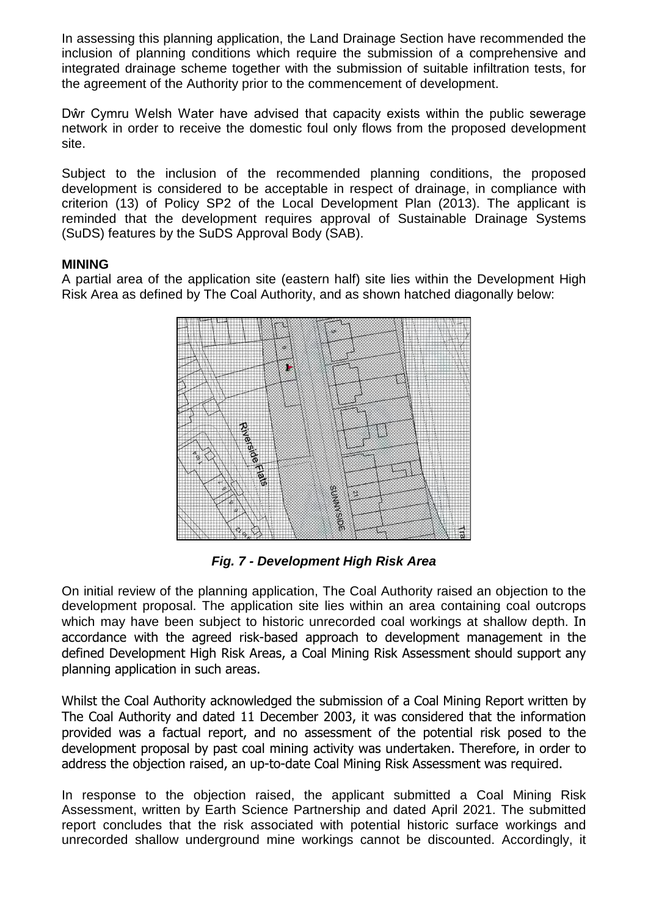In assessing this planning application, the Land Drainage Section have recommended the inclusion of planning conditions which require the submission of a comprehensive and integrated drainage scheme together with the submission of suitable infiltration tests, for the agreement of the Authority prior to the commencement of development.

Dŵr Cymru Welsh Water have advised that capacity exists within the public sewerage network in order to receive the domestic foul only flows from the proposed development site.

Subject to the inclusion of the recommended planning conditions, the proposed development is considered to be acceptable in respect of drainage, in compliance with criterion (13) of Policy SP2 of the Local Development Plan (2013). The applicant is reminded that the development requires approval of Sustainable Drainage Systems (SuDS) features by the SuDS Approval Body (SAB).

## **MINING**

A partial area of the application site (eastern half) site lies within the Development High Risk Area as defined by The Coal Authority, and as shown hatched diagonally below:



*Fig. 7 - Development High Risk Area* 

On initial review of the planning application, The Coal Authority raised an objection to the development proposal. The application site lies within an area containing coal outcrops which may have been subject to historic unrecorded coal workings at shallow depth. In accordance with the agreed risk-based approach to development management in the defined Development High Risk Areas, a Coal Mining Risk Assessment should support any planning application in such areas.

Whilst the Coal Authority acknowledged the submission of a Coal Mining Report written by The Coal Authority and dated 11 December 2003, it was considered that the information provided was a factual report, and no assessment of the potential risk posed to the development proposal by past coal mining activity was undertaken. Therefore, in order to address the objection raised, an up-to-date Coal Mining Risk Assessment was required.

In response to the objection raised, the applicant submitted a Coal Mining Risk Assessment, written by Earth Science Partnership and dated April 2021. The submitted report concludes that the risk associated with potential historic surface workings and unrecorded shallow underground mine workings cannot be discounted. Accordingly, it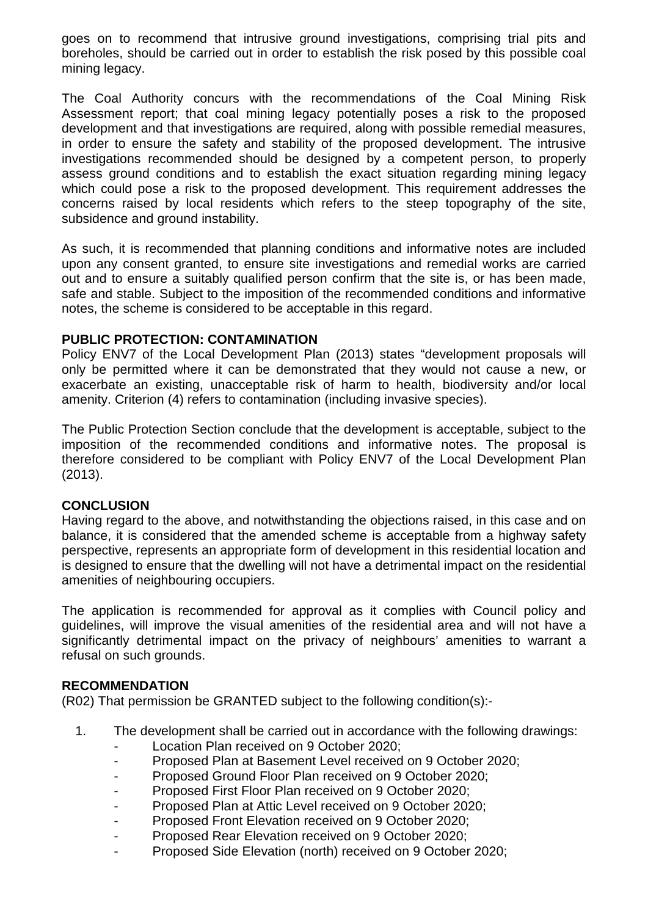goes on to recommend that intrusive ground investigations, comprising trial pits and boreholes, should be carried out in order to establish the risk posed by this possible coal mining legacy.

The Coal Authority concurs with the recommendations of the Coal Mining Risk Assessment report; that coal mining legacy potentially poses a risk to the proposed development and that investigations are required, along with possible remedial measures, in order to ensure the safety and stability of the proposed development. The intrusive investigations recommended should be designed by a competent person, to properly assess ground conditions and to establish the exact situation regarding mining legacy which could pose a risk to the proposed development. This requirement addresses the concerns raised by local residents which refers to the steep topography of the site, subsidence and ground instability.

As such, it is recommended that planning conditions and informative notes are included upon any consent granted, to ensure site investigations and remedial works are carried out and to ensure a suitably qualified person confirm that the site is, or has been made, safe and stable. Subject to the imposition of the recommended conditions and informative notes, the scheme is considered to be acceptable in this regard.

## **PUBLIC PROTECTION: CONTAMINATION**

Policy ENV7 of the Local Development Plan (2013) states "development proposals will only be permitted where it can be demonstrated that they would not cause a new, or exacerbate an existing, unacceptable risk of harm to health, biodiversity and/or local amenity. Criterion (4) refers to contamination (including invasive species).

The Public Protection Section conclude that the development is acceptable, subject to the imposition of the recommended conditions and informative notes. The proposal is therefore considered to be compliant with Policy ENV7 of the Local Development Plan (2013).

#### **CONCLUSION**

Having regard to the above, and notwithstanding the objections raised, in this case and on balance, it is considered that the amended scheme is acceptable from a highway safety perspective, represents an appropriate form of development in this residential location and is designed to ensure that the dwelling will not have a detrimental impact on the residential amenities of neighbouring occupiers.

The application is recommended for approval as it complies with Council policy and guidelines, will improve the visual amenities of the residential area and will not have a significantly detrimental impact on the privacy of neighbours' amenities to warrant a refusal on such grounds.

#### **RECOMMENDATION**

(R02) That permission be GRANTED subject to the following condition(s):-

- 1. The development shall be carried out in accordance with the following drawings:
	- Location Plan received on 9 October 2020;
	- Proposed Plan at Basement Level received on 9 October 2020;
	- Proposed Ground Floor Plan received on 9 October 2020;
	- Proposed First Floor Plan received on 9 October 2020;
	- Proposed Plan at Attic Level received on 9 October 2020;
	- Proposed Front Elevation received on 9 October 2020;
	- Proposed Rear Elevation received on 9 October 2020;
	- Proposed Side Elevation (north) received on 9 October 2020;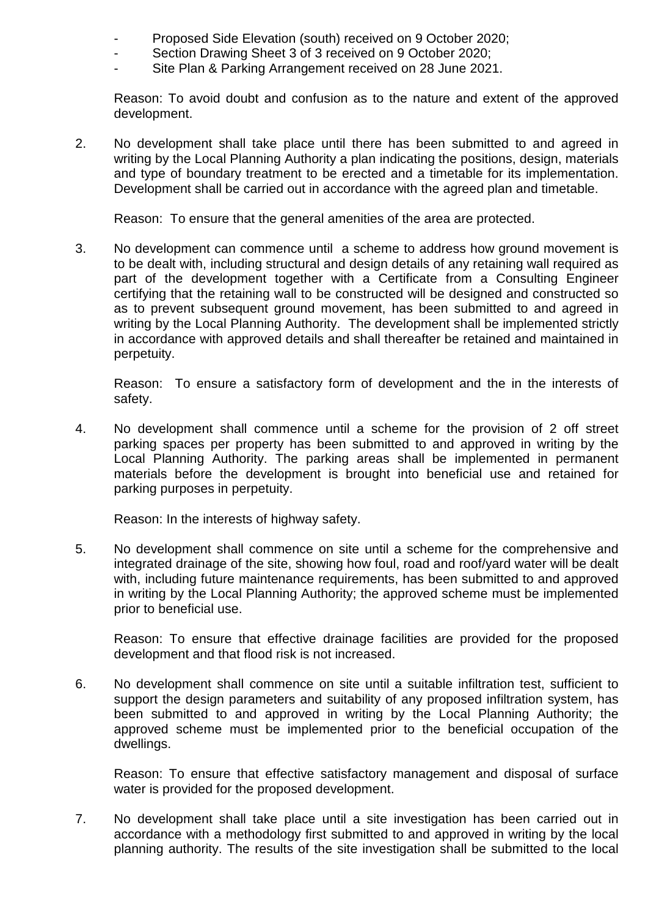- Proposed Side Elevation (south) received on 9 October 2020;
- Section Drawing Sheet 3 of 3 received on 9 October 2020;
- Site Plan & Parking Arrangement received on 28 June 2021.

Reason: To avoid doubt and confusion as to the nature and extent of the approved development.

2. No development shall take place until there has been submitted to and agreed in writing by the Local Planning Authority a plan indicating the positions, design, materials and type of boundary treatment to be erected and a timetable for its implementation. Development shall be carried out in accordance with the agreed plan and timetable.

Reason: To ensure that the general amenities of the area are protected.

3. No development can commence until a scheme to address how ground movement is to be dealt with, including structural and design details of any retaining wall required as part of the development together with a Certificate from a Consulting Engineer certifying that the retaining wall to be constructed will be designed and constructed so as to prevent subsequent ground movement, has been submitted to and agreed in writing by the Local Planning Authority. The development shall be implemented strictly in accordance with approved details and shall thereafter be retained and maintained in perpetuity.

Reason: To ensure a satisfactory form of development and the in the interests of safety.

4. No development shall commence until a scheme for the provision of 2 off street parking spaces per property has been submitted to and approved in writing by the Local Planning Authority. The parking areas shall be implemented in permanent materials before the development is brought into beneficial use and retained for parking purposes in perpetuity.

Reason: In the interests of highway safety.

5. No development shall commence on site until a scheme for the comprehensive and integrated drainage of the site, showing how foul, road and roof/yard water will be dealt with, including future maintenance requirements, has been submitted to and approved in writing by the Local Planning Authority; the approved scheme must be implemented prior to beneficial use.

Reason: To ensure that effective drainage facilities are provided for the proposed development and that flood risk is not increased.

6. No development shall commence on site until a suitable infiltration test, sufficient to support the design parameters and suitability of any proposed infiltration system, has been submitted to and approved in writing by the Local Planning Authority; the approved scheme must be implemented prior to the beneficial occupation of the dwellings.

Reason: To ensure that effective satisfactory management and disposal of surface water is provided for the proposed development.

7. No development shall take place until a site investigation has been carried out in accordance with a methodology first submitted to and approved in writing by the local planning authority. The results of the site investigation shall be submitted to the local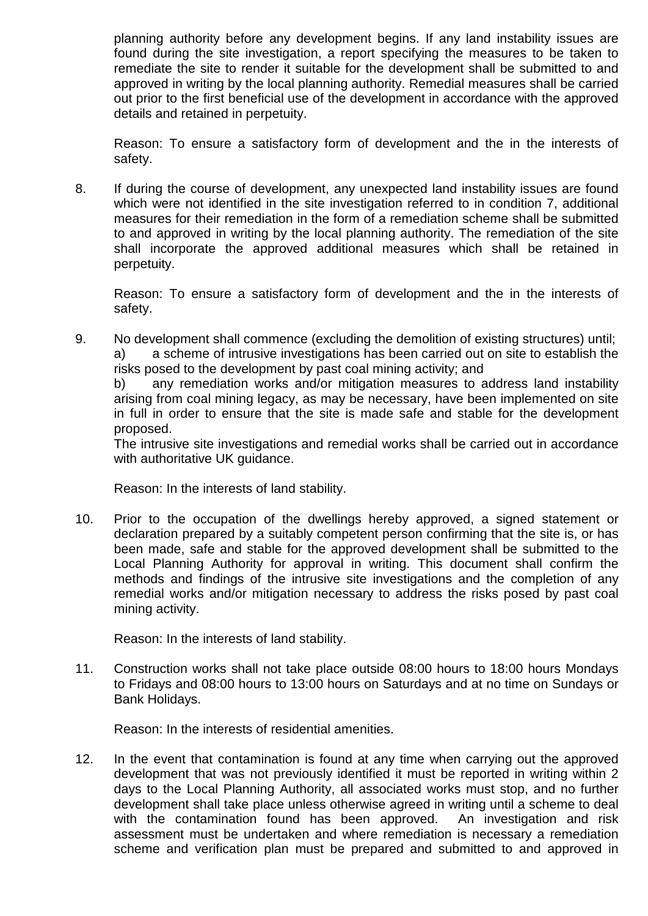planning authority before any development begins. If any land instability issues are found during the site investigation, a report specifying the measures to be taken to remediate the site to render it suitable for the development shall be submitted to and approved in writing by the local planning authority. Remedial measures shall be carried out prior to the first beneficial use of the development in accordance with the approved details and retained in perpetuity.

Reason: To ensure a satisfactory form of development and the in the interests of safety.

8. If during the course of development, any unexpected land instability issues are found which were not identified in the site investigation referred to in condition 7, additional measures for their remediation in the form of a remediation scheme shall be submitted to and approved in writing by the local planning authority. The remediation of the site shall incorporate the approved additional measures which shall be retained in perpetuity.

Reason: To ensure a satisfactory form of development and the in the interests of safety.

9. No development shall commence (excluding the demolition of existing structures) until; a) a scheme of intrusive investigations has been carried out on site to establish the risks posed to the development by past coal mining activity; and

b) any remediation works and/or mitigation measures to address land instability arising from coal mining legacy, as may be necessary, have been implemented on site in full in order to ensure that the site is made safe and stable for the development proposed.

The intrusive site investigations and remedial works shall be carried out in accordance with authoritative UK quidance.

Reason: In the interests of land stability.

10. Prior to the occupation of the dwellings hereby approved, a signed statement or declaration prepared by a suitably competent person confirming that the site is, or has been made, safe and stable for the approved development shall be submitted to the Local Planning Authority for approval in writing. This document shall confirm the methods and findings of the intrusive site investigations and the completion of any remedial works and/or mitigation necessary to address the risks posed by past coal mining activity.

Reason: In the interests of land stability.

11. Construction works shall not take place outside 08:00 hours to 18:00 hours Mondays to Fridays and 08:00 hours to 13:00 hours on Saturdays and at no time on Sundays or Bank Holidays.

Reason: In the interests of residential amenities.

12. In the event that contamination is found at any time when carrying out the approved development that was not previously identified it must be reported in writing within 2 days to the Local Planning Authority, all associated works must stop, and no further development shall take place unless otherwise agreed in writing until a scheme to deal with the contamination found has been approved. An investigation and risk assessment must be undertaken and where remediation is necessary a remediation scheme and verification plan must be prepared and submitted to and approved in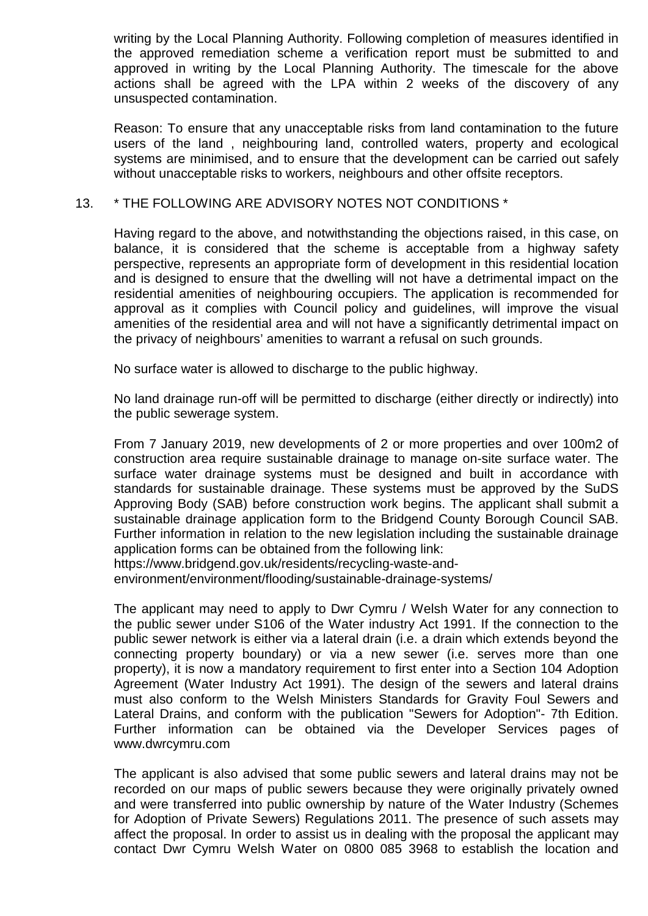writing by the Local Planning Authority. Following completion of measures identified in the approved remediation scheme a verification report must be submitted to and approved in writing by the Local Planning Authority. The timescale for the above actions shall be agreed with the LPA within 2 weeks of the discovery of any unsuspected contamination.

Reason: To ensure that any unacceptable risks from land contamination to the future users of the land , neighbouring land, controlled waters, property and ecological systems are minimised, and to ensure that the development can be carried out safely without unacceptable risks to workers, neighbours and other offsite receptors.

#### 13. \* THE FOLLOWING ARE ADVISORY NOTES NOT CONDITIONS \*

Having regard to the above, and notwithstanding the objections raised, in this case, on balance, it is considered that the scheme is acceptable from a highway safety perspective, represents an appropriate form of development in this residential location and is designed to ensure that the dwelling will not have a detrimental impact on the residential amenities of neighbouring occupiers. The application is recommended for approval as it complies with Council policy and guidelines, will improve the visual amenities of the residential area and will not have a significantly detrimental impact on the privacy of neighbours' amenities to warrant a refusal on such grounds.

No surface water is allowed to discharge to the public highway.

No land drainage run-off will be permitted to discharge (either directly or indirectly) into the public sewerage system.

From 7 January 2019, new developments of 2 or more properties and over 100m2 of construction area require sustainable drainage to manage on-site surface water. The surface water drainage systems must be designed and built in accordance with standards for sustainable drainage. These systems must be approved by the SuDS Approving Body (SAB) before construction work begins. The applicant shall submit a sustainable drainage application form to the Bridgend County Borough Council SAB. Further information in relation to the new legislation including the sustainable drainage application forms can be obtained from the following link: https://www.bridgend.gov.uk/residents/recycling-waste-and-

environment/environment/flooding/sustainable-drainage-systems/

The applicant may need to apply to Dwr Cymru / Welsh Water for any connection to the public sewer under S106 of the Water industry Act 1991. If the connection to the public sewer network is either via a lateral drain (i.e. a drain which extends beyond the connecting property boundary) or via a new sewer (i.e. serves more than one property), it is now a mandatory requirement to first enter into a Section 104 Adoption Agreement (Water Industry Act 1991). The design of the sewers and lateral drains must also conform to the Welsh Ministers Standards for Gravity Foul Sewers and Lateral Drains, and conform with the publication "Sewers for Adoption"- 7th Edition. Further information can be obtained via the Developer Services pages of www.dwrcymru.com

The applicant is also advised that some public sewers and lateral drains may not be recorded on our maps of public sewers because they were originally privately owned and were transferred into public ownership by nature of the Water Industry (Schemes for Adoption of Private Sewers) Regulations 2011. The presence of such assets may affect the proposal. In order to assist us in dealing with the proposal the applicant may contact Dwr Cymru Welsh Water on 0800 085 3968 to establish the location and